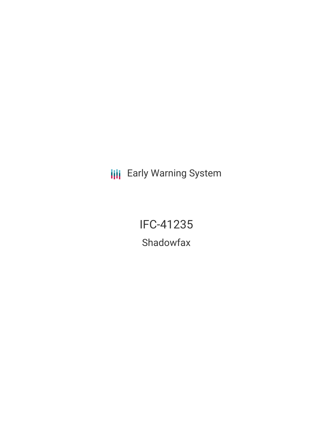**III** Early Warning System

IFC-41235 Shadowfax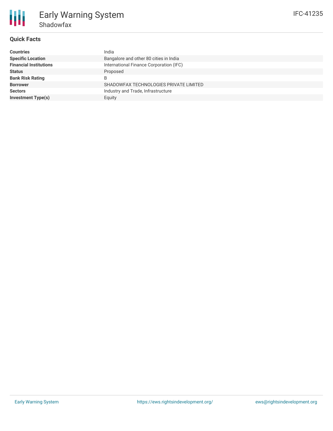## **Quick Facts**

| <b>Countries</b>              | India                                   |
|-------------------------------|-----------------------------------------|
| <b>Specific Location</b>      | Bangalore and other 80 cities in India  |
| <b>Financial Institutions</b> | International Finance Corporation (IFC) |
| <b>Status</b>                 | Proposed                                |
| <b>Bank Risk Rating</b>       | B                                       |
| <b>Borrower</b>               | SHADOWFAX TECHNOLOGIES PRIVATE LIMITED  |
| <b>Sectors</b>                | Industry and Trade, Infrastructure      |
| <b>Investment Type(s)</b>     | Equity                                  |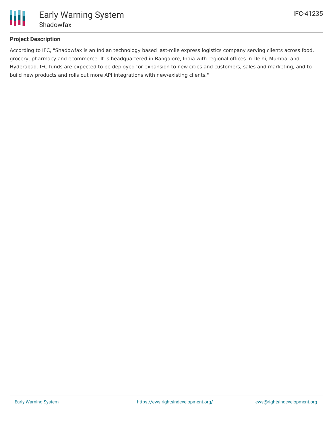

# **Project Description**

According to IFC, "Shadowfax is an Indian technology based last-mile express logistics company serving clients across food, grocery, pharmacy and ecommerce. It is headquartered in Bangalore, India with regional offices in Delhi, Mumbai and Hyderabad. IFC funds are expected to be deployed for expansion to new cities and customers, sales and marketing, and to build new products and rolls out more API integrations with new/existing clients."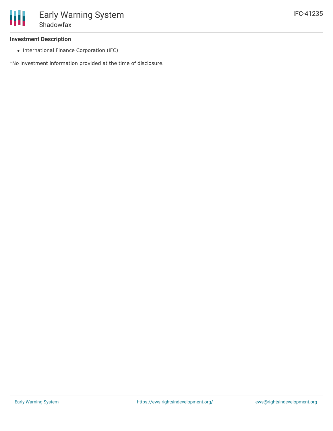# **Investment Description**

• International Finance Corporation (IFC)

\*No investment information provided at the time of disclosure.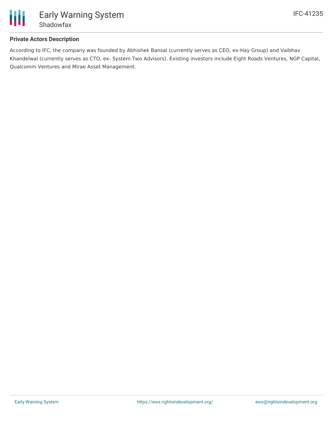

# **Private Actors Description**

According to IFC, the company was founded by Abhishek Bansal (currently serves as CEO, ex-Hay Group) and Vaibhav Khandelwal (currently serves as CTO, ex- System Two Advisors). Existing investors include Eight Roads Ventures, NGP Capital, Qualcomm Ventures and Mirae Asset Management.